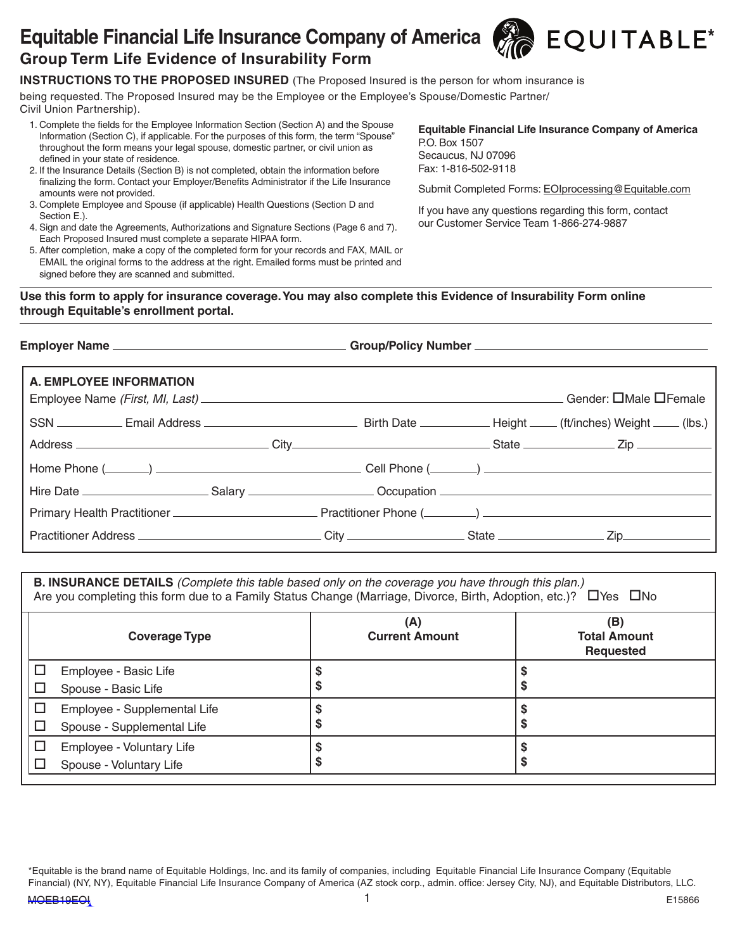# Equitable Financial Life Insurance Company of America  $\mathcal{R}$  EQUITABLE<sup>\*</sup> **Group Term Life Evidence of Insurability Form**



being requested. The Proposed Insured may be the Employee or the Employee's Spouse/Domestic Partner/ Civil Union Partnership).

- 1. Complete the fields for the Employee Information Section (Section A) and the Spouse Information (Section C), if applicable. For the purposes of this form, the term "Spouse" throughout the form means your legal spouse, domestic partner, or civil union as defined in your state of residence.
- 2. If the Insurance Details (Section B) is not completed, obtain the information before finalizing the form. Contact your Employer/Benefits Administrator if the Life Insurance amounts were not provided.
- 3. Complete Employee and Spouse (if applicable) Health Questions (Section D and Section E.).
- 4. Sign and date the Agreements, Authorizations and Signature Sections (Page 6 and 7). Each Proposed Insured must complete a separate HIPAA form.
- 5. After completion, make a copy of the completed form for your records and FAX, MAIL or EMAIL the original forms to the address at the right. Emailed forms must be printed and signed before they are scanned and submitted.

**Equitable Financial Life Insurance Company of America** P.O. Box 1507 Secaucus, NJ 07096 Fax: 1-816-502-9118

Submit Completed Forms: EOIprocessing@Equitable.com

If you have any questions regarding this form, contact our Customer Service Team 1-866-274-9887

### **Use this form to apply for insurance coverage. You may also complete this Evidence of Insurability Form online through Equitable's enrollment portal.**

| A. EMPLOYEE INFORMATION |  | . Gender: □Male □Female |
|-------------------------|--|-------------------------|
|                         |  |                         |
|                         |  |                         |
|                         |  |                         |
|                         |  |                         |
|                         |  |                         |
|                         |  |                         |

**B. INSURANCE DETAILS** *(Complete this table based only on the coverage you have through this plan.)* Are you completing this form due to a Family Status Change (Marriage, Divorce, Birth, Adoption, etc.)?  $\Box$  Yes  $\Box$  No

| <b>Coverage Type</b>                                                 | (A)<br><b>Current Amount</b> | (B)<br><b>Total Amount</b><br><b>Requested</b> |
|----------------------------------------------------------------------|------------------------------|------------------------------------------------|
| Employee - Basic Life<br>Spouse - Basic Life<br>ப                    |                              |                                                |
| Employee - Supplemental Life<br>ப<br>Spouse - Supplemental Life<br>ப |                              |                                                |
| Employee - Voluntary Life<br>⊔<br>Spouse - Voluntary Life            | G                            |                                                |

\*Equitable is the brand name of Equitable Holdings, Inc. and its family of companies, including Equitable Financial Life Insurance Company (Equitable Financial) (NY, NY), Equitable Financial Life Insurance Company of America (AZ stock corp., admin. office: Jersey City, NJ), and Equitable Distributors, LLC.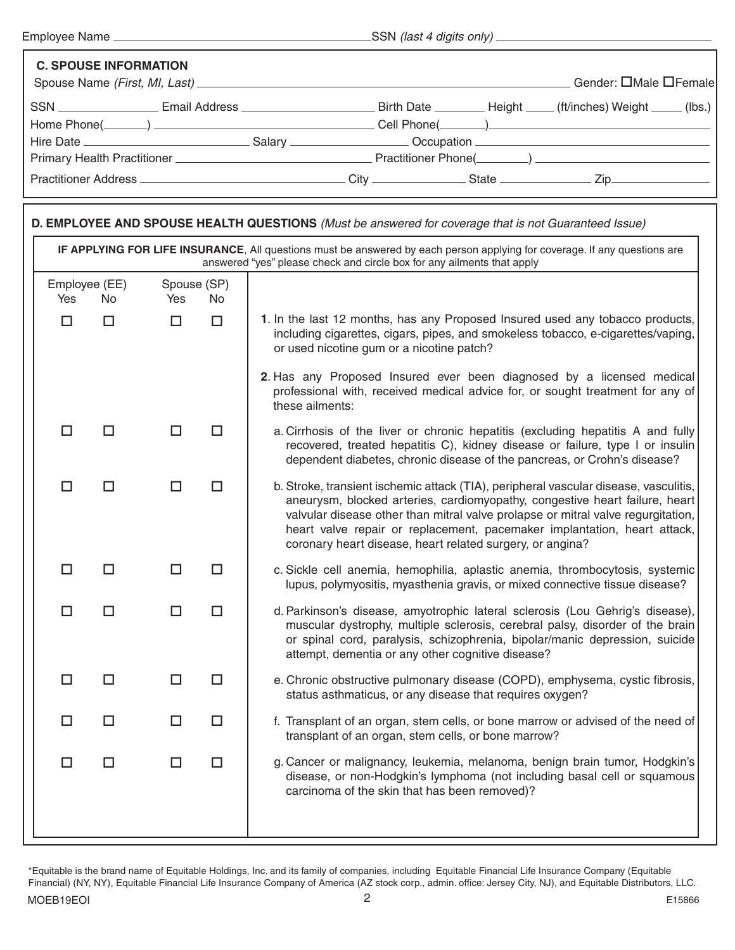Г

Employee Name SSN *(last 4 digits only)*

| <b>C. SPOUSE INFORMATION</b> |                                                                                                                                |  |  |  |  |  |  |
|------------------------------|--------------------------------------------------------------------------------------------------------------------------------|--|--|--|--|--|--|
|                              | . Gender: □Male □Female                                                                                                        |  |  |  |  |  |  |
|                              | SSN __________________Email Address __________________________Birth Date _________Height _____ (ft/inches) Weight _____ (lbs.) |  |  |  |  |  |  |
|                              |                                                                                                                                |  |  |  |  |  |  |
|                              |                                                                                                                                |  |  |  |  |  |  |
|                              |                                                                                                                                |  |  |  |  |  |  |
|                              |                                                                                                                                |  |  |  |  |  |  |

| D. EMPLOYEE AND SPOUSE HEALTH QUESTIONS (Must be answered for coverage that is not Guaranteed Issue) |                                                                                                                                                                                                     |                    |           |                                                                                                                                                                                                                                                                                                                                                                                                  |  |  |  |
|------------------------------------------------------------------------------------------------------|-----------------------------------------------------------------------------------------------------------------------------------------------------------------------------------------------------|--------------------|-----------|--------------------------------------------------------------------------------------------------------------------------------------------------------------------------------------------------------------------------------------------------------------------------------------------------------------------------------------------------------------------------------------------------|--|--|--|
|                                                                                                      | IF APPLYING FOR LIFE INSURANCE, All questions must be answered by each person applying for coverage. If any questions are<br>answered "yes" please check and circle box for any ailments that apply |                    |           |                                                                                                                                                                                                                                                                                                                                                                                                  |  |  |  |
| Employee (EE)<br>Yes                                                                                 | No.                                                                                                                                                                                                 | Spouse (SP)<br>Yes | <b>No</b> |                                                                                                                                                                                                                                                                                                                                                                                                  |  |  |  |
| $\Box$                                                                                               | $\Box$                                                                                                                                                                                              | $\Box$             | $\Box$    | 1. In the last 12 months, has any Proposed Insured used any tobacco products,<br>including cigarettes, cigars, pipes, and smokeless tobacco, e-cigarettes/vaping,<br>or used nicotine gum or a nicotine patch?                                                                                                                                                                                   |  |  |  |
|                                                                                                      |                                                                                                                                                                                                     |                    |           | 2. Has any Proposed Insured ever been diagnosed by a licensed medical<br>professional with, received medical advice for, or sought treatment for any of<br>these ailments:                                                                                                                                                                                                                       |  |  |  |
| $\Box$                                                                                               | □                                                                                                                                                                                                   | $\Box$             | □         | a. Cirrhosis of the liver or chronic hepatitis (excluding hepatitis A and fully<br>recovered, treated hepatitis C), kidney disease or failure, type I or insulin<br>dependent diabetes, chronic disease of the pancreas, or Crohn's disease?                                                                                                                                                     |  |  |  |
| $\Box$                                                                                               | $\Box$                                                                                                                                                                                              | $\Box$             | $\Box$    | b. Stroke, transient ischemic attack (TIA), peripheral vascular disease, vasculitis,<br>aneurysm, blocked arteries, cardiomyopathy, congestive heart failure, heart<br>valvular disease other than mitral valve prolapse or mitral valve regurgitation,<br>heart valve repair or replacement, pacemaker implantation, heart attack,<br>coronary heart disease, heart related surgery, or angina? |  |  |  |
| □                                                                                                    | $\Box$                                                                                                                                                                                              | $\Box$             | $\Box$    | c. Sickle cell anemia, hemophilia, aplastic anemia, thrombocytosis, systemic<br>lupus, polymyositis, myasthenia gravis, or mixed connective tissue disease?                                                                                                                                                                                                                                      |  |  |  |
| □                                                                                                    | $\Box$                                                                                                                                                                                              | $\Box$             | $\Box$    | d. Parkinson's disease, amyotrophic lateral sclerosis (Lou Gehrig's disease),<br>muscular dystrophy, multiple sclerosis, cerebral palsy, disorder of the brain<br>or spinal cord, paralysis, schizophrenia, bipolar/manic depression, suicide<br>attempt, dementia or any other cognitive disease?                                                                                               |  |  |  |
| $\Box$                                                                                               | $\Box$                                                                                                                                                                                              | $\Box$             | $\Box$    | e. Chronic obstructive pulmonary disease (COPD), emphysema, cystic fibrosis,<br>status asthmaticus, or any disease that requires oxygen?                                                                                                                                                                                                                                                         |  |  |  |
| □                                                                                                    | $\Box$                                                                                                                                                                                              | $\Box$             | $\Box$    | f. Transplant of an organ, stem cells, or bone marrow or advised of the need of<br>transplant of an organ, stem cells, or bone marrow?                                                                                                                                                                                                                                                           |  |  |  |
| $\Box$                                                                                               | $\Box$                                                                                                                                                                                              | $\Box$             | $\Box$    | g. Cancer or malignancy, leukemia, melanoma, benign brain tumor, Hodgkin's<br>disease, or non-Hodgkin's lymphoma (not including basal cell or squamous<br>carcinoma of the skin that has been removed)?                                                                                                                                                                                          |  |  |  |

\*Equitable is the brand name of Equitable Holdings, Inc. and its family of companies, including Equitable Financial Life Insurance Company (Equitable Financial) (NY, NY), Equitable Financial Life Insurance Company of America (AZ stock corp., admin. office: Jersey City, NJ), and Equitable Distributors, LLC.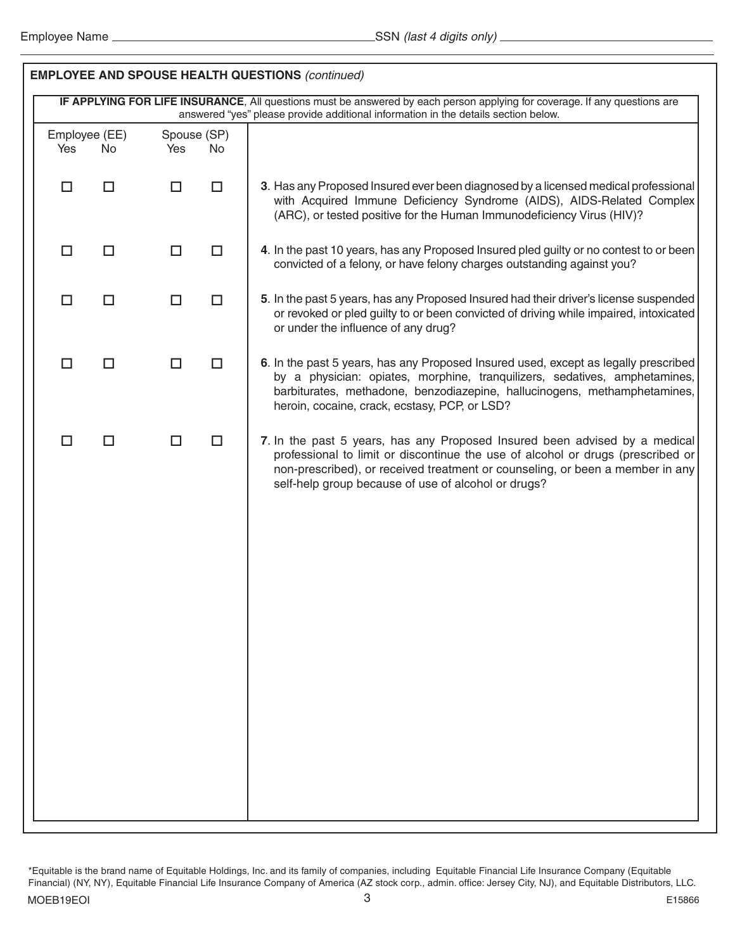| <b>EMPLOYEE AND SPOUSE HEALTH QUESTIONS (continued)</b> |        |                   |                                                                                                                                                                                                                                                                                                       |  |  |  |
|---------------------------------------------------------|--------|-------------------|-------------------------------------------------------------------------------------------------------------------------------------------------------------------------------------------------------------------------------------------------------------------------------------------------------|--|--|--|
|                                                         |        |                   | IF APPLYING FOR LIFE INSURANCE, All questions must be answered by each person applying for coverage. If any questions are<br>answered "yes" please provide additional information in the details section below.                                                                                       |  |  |  |
| Employee (EE)<br>Yes<br>No                              | Yes    | Spouse (SP)<br>No |                                                                                                                                                                                                                                                                                                       |  |  |  |
| $\Box$<br>$\Box$                                        | □      | $\Box$            | 3. Has any Proposed Insured ever been diagnosed by a licensed medical professional<br>with Acquired Immune Deficiency Syndrome (AIDS), AIDS-Related Complex<br>(ARC), or tested positive for the Human Immunodeficiency Virus (HIV)?                                                                  |  |  |  |
| $\Box$<br>$\Box$                                        | □      | □                 | 4. In the past 10 years, has any Proposed Insured pled guilty or no contest to or been<br>convicted of a felony, or have felony charges outstanding against you?                                                                                                                                      |  |  |  |
| $\Box$<br>$\Box$                                        | $\Box$ | $\Box$            | 5. In the past 5 years, has any Proposed Insured had their driver's license suspended<br>or revoked or pled guilty to or been convicted of driving while impaired, intoxicated<br>or under the influence of any drug?                                                                                 |  |  |  |
| $\Box$<br>$\Box$                                        | □      | $\Box$            | 6. In the past 5 years, has any Proposed Insured used, except as legally prescribed<br>by a physician: opiates, morphine, tranquilizers, sedatives, amphetamines,<br>barbiturates, methadone, benzodiazepine, hallucinogens, methamphetamines,<br>heroin, cocaine, crack, ecstasy, PCP, or LSD?       |  |  |  |
| $\Box$<br>$\Box$                                        | $\Box$ | $\Box$            | 7. In the past 5 years, has any Proposed Insured been advised by a medical<br>professional to limit or discontinue the use of alcohol or drugs (prescribed or<br>non-prescribed), or received treatment or counseling, or been a member in any<br>self-help group because of use of alcohol or drugs? |  |  |  |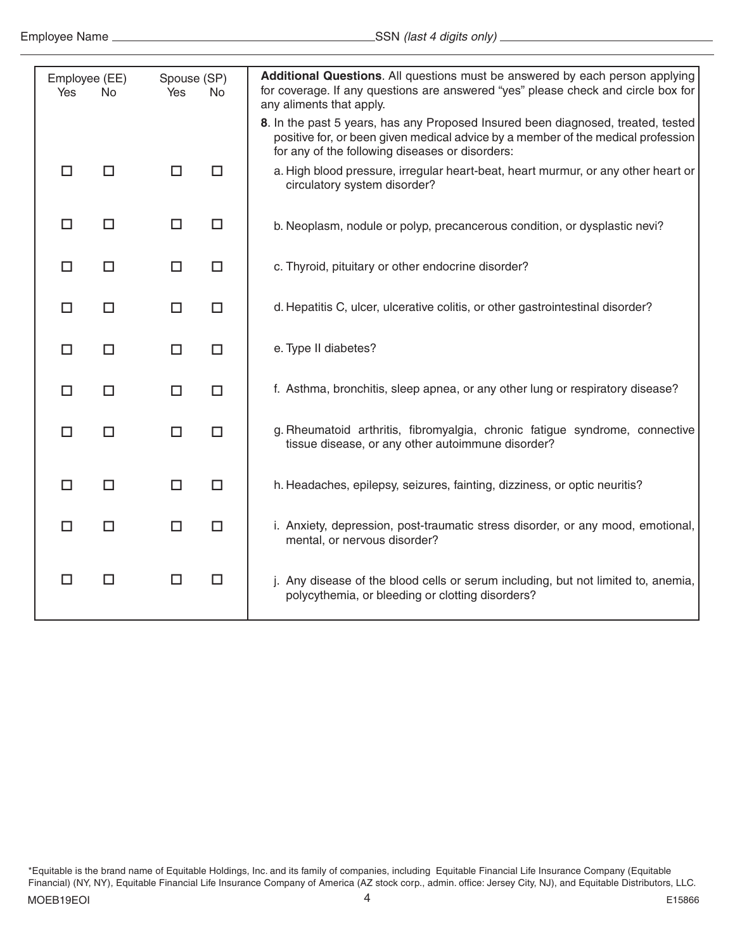| Yes | Employee (EE)<br><b>No</b> | Spouse (SP)<br>Yes | <b>No</b> | Additional Questions. All questions must be answered by each person applying<br>for coverage. If any questions are answered "yes" please check and circle box for<br>any aliments that apply.                           |
|-----|----------------------------|--------------------|-----------|-------------------------------------------------------------------------------------------------------------------------------------------------------------------------------------------------------------------------|
|     |                            |                    |           | 8. In the past 5 years, has any Proposed Insured been diagnosed, treated, tested<br>positive for, or been given medical advice by a member of the medical profession<br>for any of the following diseases or disorders: |
| П   | □                          | $\Box$             | □         | a. High blood pressure, irregular heart-beat, heart murmur, or any other heart or<br>circulatory system disorder?                                                                                                       |
| □   | $\Box$                     | □                  | $\Box$    | b. Neoplasm, nodule or polyp, precancerous condition, or dysplastic nevi?                                                                                                                                               |
| □   | $\Box$                     | $\Box$             | □         | c. Thyroid, pituitary or other endocrine disorder?                                                                                                                                                                      |
| □   | $\Box$                     | $\Box$             | $\Box$    | d. Hepatitis C, ulcer, ulcerative colitis, or other gastrointestinal disorder?                                                                                                                                          |
| П   | □                          | $\Box$             | □         | e. Type II diabetes?                                                                                                                                                                                                    |
| П   | $\Box$                     | $\Box$             | $\Box$    | f. Asthma, bronchitis, sleep apnea, or any other lung or respiratory disease?                                                                                                                                           |
| П   | $\Box$                     | $\Box$             | $\Box$    | g. Rheumatoid arthritis, fibromyalgia, chronic fatigue syndrome, connective<br>tissue disease, or any other autoimmune disorder?                                                                                        |
| □   | $\Box$                     | $\Box$             | $\Box$    | h. Headaches, epilepsy, seizures, fainting, dizziness, or optic neuritis?                                                                                                                                               |
| п   | $\Box$                     | $\Box$             | $\Box$    | i. Anxiety, depression, post-traumatic stress disorder, or any mood, emotional,<br>mental, or nervous disorder?                                                                                                         |
| ΙI  | $\Box$                     | □                  | $\Box$    | j. Any disease of the blood cells or serum including, but not limited to, anemia,<br>polycythemia, or bleeding or clotting disorders?                                                                                   |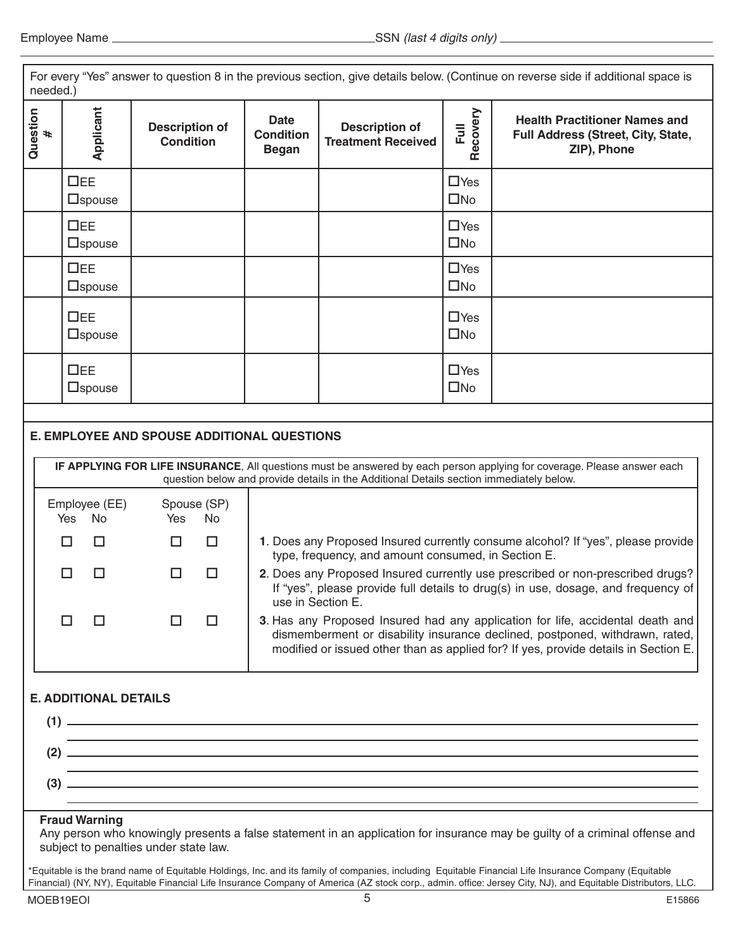| For every "Yes" answer to question 8 in the previous section, give details below. (Continue on reverse side if additional space is<br>needed.)                                                                                                                                                                                                                                                                                                                                                                                                                                                                                                                                                                                                                                                                                                                                                                                                                                                                                               |                               |                                           |                                                                                                                    |  |                                                                                           |  |  |  |
|----------------------------------------------------------------------------------------------------------------------------------------------------------------------------------------------------------------------------------------------------------------------------------------------------------------------------------------------------------------------------------------------------------------------------------------------------------------------------------------------------------------------------------------------------------------------------------------------------------------------------------------------------------------------------------------------------------------------------------------------------------------------------------------------------------------------------------------------------------------------------------------------------------------------------------------------------------------------------------------------------------------------------------------------|-------------------------------|-------------------------------------------|--------------------------------------------------------------------------------------------------------------------|--|-------------------------------------------------------------------------------------------|--|--|--|
| Question<br>#                                                                                                                                                                                                                                                                                                                                                                                                                                                                                                                                                                                                                                                                                                                                                                                                                                                                                                                                                                                                                                | Applicant                     | <b>Description of</b><br><b>Condition</b> | Recovery<br>Date<br>Full<br><b>Description of</b><br><b>Condition</b><br><b>Treatment Received</b><br><b>Began</b> |  | <b>Health Practitioner Names and</b><br>Full Address (Street, City, State,<br>ZIP), Phone |  |  |  |
|                                                                                                                                                                                                                                                                                                                                                                                                                                                                                                                                                                                                                                                                                                                                                                                                                                                                                                                                                                                                                                              | $\Box$ EE<br>$\square$ spouse |                                           |                                                                                                                    |  | $\Box$ Yes<br>$\square$ No                                                                |  |  |  |
|                                                                                                                                                                                                                                                                                                                                                                                                                                                                                                                                                                                                                                                                                                                                                                                                                                                                                                                                                                                                                                              | $\Box$ EE<br>$\square$ spouse |                                           |                                                                                                                    |  | $\Box$ Yes<br>$\square$ No                                                                |  |  |  |
|                                                                                                                                                                                                                                                                                                                                                                                                                                                                                                                                                                                                                                                                                                                                                                                                                                                                                                                                                                                                                                              | $\Box$ EE<br>$\square$ spouse |                                           |                                                                                                                    |  | $\Box$ Yes<br>$\square$ No                                                                |  |  |  |
|                                                                                                                                                                                                                                                                                                                                                                                                                                                                                                                                                                                                                                                                                                                                                                                                                                                                                                                                                                                                                                              | $\Box$ EE<br>$\square$ spouse |                                           |                                                                                                                    |  | $\Box$ Yes<br>$\square$ No                                                                |  |  |  |
|                                                                                                                                                                                                                                                                                                                                                                                                                                                                                                                                                                                                                                                                                                                                                                                                                                                                                                                                                                                                                                              | $\Box$ EE<br>$\square$ spouse |                                           |                                                                                                                    |  | $\Box$ Yes<br>$\square$ No                                                                |  |  |  |
| <b>E. EMPLOYEE AND SPOUSE ADDITIONAL QUESTIONS</b><br>IF APPLYING FOR LIFE INSURANCE, All questions must be answered by each person applying for coverage. Please answer each<br>question below and provide details in the Additional Details section immediately below.<br>Spouse (SP)<br>Employee (EE)<br><b>No</b><br>No<br><b>Yes</b><br>Yes<br>1. Does any Proposed Insured currently consume alcohol? If "yes", please provide<br>$\Box$<br>$\Box$<br>□<br>□<br>type, frequency, and amount consumed, in Section E.<br>2. Does any Proposed Insured currently use prescribed or non-prescribed drugs?<br>□<br>□<br>$\Box$<br>$\Box$<br>If "yes", please provide full details to drug(s) in use, dosage, and frequency of<br>use in Section E.<br>П<br>3. Has any Proposed Insured had any application for life, accidental death and<br>П<br>$\mathsf{L}$<br>ΙI<br>dismemberment or disability insurance declined, postponed, withdrawn, rated,<br>modified or issued other than as applied for? If yes, provide details in Section E. |                               |                                           |                                                                                                                    |  |                                                                                           |  |  |  |
| <b>E. ADDITIONAL DETAILS</b><br>$(1)$ $\qquad \qquad$<br>$\overline{a}$ $\overline{a}$ $\overline{a}$ $\overline{a}$ $\overline{a}$ $\overline{a}$ $\overline{a}$ $\overline{a}$ $\overline{a}$ $\overline{a}$ $\overline{a}$ $\overline{a}$ $\overline{a}$ $\overline{a}$ $\overline{a}$ $\overline{a}$ $\overline{a}$ $\overline{a}$ $\overline{a}$ $\overline{a}$ $\overline{a}$ $\overline{a}$ $\overline{a}$ $\overline{a}$ $\overline{$<br>,我们也不能在这里的时候,我们也不能在这里的时候,我们也不能会在这里的时候,我们也不能会在这里的时候,我们也不能会在这里的时候,我们也不能会在这里的时候,我们也<br>$(3)$ —<br><u> 1989 - Jan Samuel Barbara, margaret eta biztanleria (h. 1989).</u><br><b>Fraud Warning</b><br>Any person who knowingly presents a false statement in an application for insurance may be guilty of a criminal offense and<br>subject to penalties under state law.<br>*Equitable is the brand name of Equitable Holdings, Inc. and its family of companies, including Equitable Financial Life Insurance Company (Equitable                                                              |                               |                                           |                                                                                                                    |  |                                                                                           |  |  |  |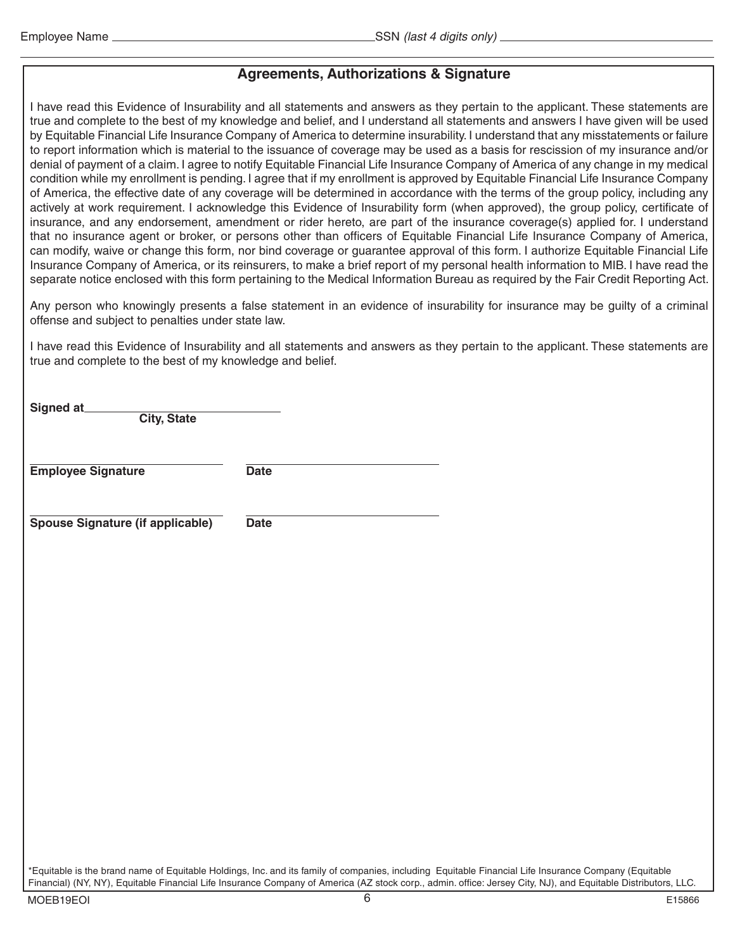# **Agreements, Authorizations & Signature**

I have read this Evidence of Insurability and all statements and answers as they pertain to the applicant. These statements are true and complete to the best of my knowledge and belief, and I understand all statements and answers I have given will be used by Equitable Financial Life Insurance Company of America to determine insurability. I understand that any misstatements or failure to report information which is material to the issuance of coverage may be used as a basis for rescission of my insurance and/or denial of payment of a claim. I agree to notify Equitable Financial Life Insurance Company of America of any change in my medical condition while my enrollment is pending. I agree that if my enrollment is approved by Equitable Financial Life Insurance Company of America, the effective date of any coverage will be determined in accordance with the terms of the group policy, including any actively at work requirement. I acknowledge this Evidence of Insurability form (when approved), the group policy, certificate of insurance, and any endorsement, amendment or rider hereto, are part of the insurance coverage(s) applied for. I understand that no insurance agent or broker, or persons other than officers of Equitable Financial Life Insurance Company of America, can modify, waive or change this form, nor bind coverage or guarantee approval of this form. I authorize Equitable Financial Life Insurance Company of America, or its reinsurers, to make a brief report of my personal health information to MIB. I have read the separate notice enclosed with this form pertaining to the Medical Information Bureau as required by the Fair Credit Reporting Act.

Any person who knowingly presents a false statement in an evidence of insurability for insurance may be guilty of a criminal offense and subject to penalties under state law.

I have read this Evidence of Insurability and all statements and answers as they pertain to the applicant. These statements are true and complete to the best of my knowledge and belief.

| Signed at<br><b>City, State</b>  |             |
|----------------------------------|-------------|
| <b>Employee Signature</b>        | <b>Date</b> |
| Spouse Signature (if applicable) | <b>Date</b> |
|                                  |             |
|                                  |             |
|                                  |             |
|                                  |             |

\*Equitable is the brand name of Equitable Holdings, Inc. and its family of companies, including Equitable Financial Life Insurance Company (Equitable Financial) (NY, NY), Equitable Financial Life Insurance Company of America (AZ stock corp., admin. office: Jersey City, NJ), and Equitable Distributors, LLC.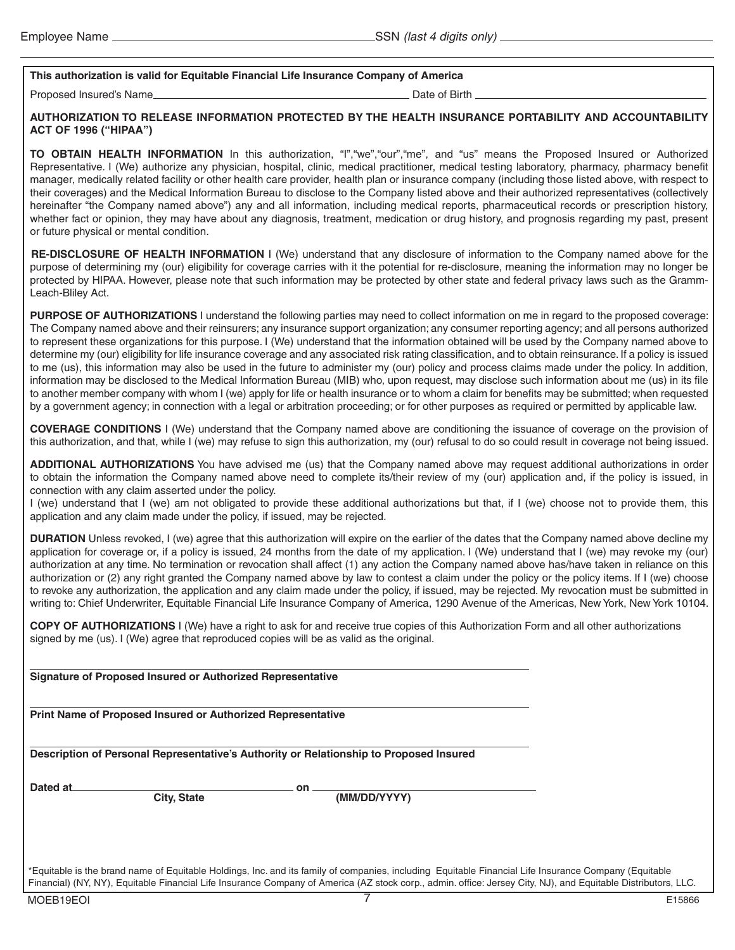# **This authorization is valid for Equitable Financial Life Insurance Company of America**

Proposed Insured's Name Date of Birth Alexander Control of Birth Alexander Control of Birth Alexander Control of Birth Alexander Control of Birth Alexander Control of Birth Alexander Control of Birth Alexander Control of B

### **AUTHORIZATION TO RELEASE INFORMATION PROTECTED BY THE HEALTH INSURANCE PORTABILITY AND ACCOUNTABILITY ACT OF 1996 ("HIPAA")**

**TO OBTAIN HEALTH INFORMATION** In this authorization, "I","we","our","me", and "us" means the Proposed Insured or Authorized Representative. I (We) authorize any physician, hospital, clinic, medical practitioner, medical testing laboratory, pharmacy, pharmacy benefit manager, medically related facility or other health care provider, health plan or insurance company (including those listed above, with respect to their coverages) and the Medical Information Bureau to disclose to the Company listed above and their authorized representatives (collectively hereinafter "the Company named above") any and all information, including medical reports, pharmaceutical records or prescription history, whether fact or opinion, they may have about any diagnosis, treatment, medication or drug history, and prognosis regarding my past, present or future physical or mental condition.

**RE-DISCLOSURE OF HEALTH INFORMATION** I (We) understand that any disclosure of information to the Company named above for the purpose of determining my (our) eligibility for coverage carries with it the potential for re-disclosure, meaning the information may no longer be protected by HIPAA. However, please note that such information may be protected by other state and federal privacy laws such as the Gramm-Leach-Bliley Act.

**PURPOSE OF AUTHORIZATIONS** I understand the following parties may need to collect information on me in regard to the proposed coverage: The Company named above and their reinsurers; any insurance support organization; any consumer reporting agency; and all persons authorized to represent these organizations for this purpose. I (We) understand that the information obtained will be used by the Company named above to determine my (our) eligibility for life insurance coverage and any associated risk rating classification, and to obtain reinsurance. If a policy is issued to me (us), this information may also be used in the future to administer my (our) policy and process claims made under the policy. In addition, information may be disclosed to the Medical Information Bureau (MIB) who, upon request, may disclose such information about me (us) in its file to another member company with whom I (we) apply for life or health insurance or to whom a claim for benefits may be submitted; when requested by a government agency; in connection with a legal or arbitration proceeding; or for other purposes as required or permitted by applicable law.

**COVERAGE CONDITIONS** I (We) understand that the Company named above are conditioning the issuance of coverage on the provision of this authorization, and that, while I (we) may refuse to sign this authorization, my (our) refusal to do so could result in coverage not being issued.

**ADDITIONAL AUTHORIZATIONS** You have advised me (us) that the Company named above may request additional authorizations in order to obtain the information the Company named above need to complete its/their review of my (our) application and, if the policy is issued, in connection with any claim asserted under the policy.

I (we) understand that I (we) am not obligated to provide these additional authorizations but that, if I (we) choose not to provide them, this application and any claim made under the policy, if issued, may be rejected.

**DURATION** Unless revoked, I (we) agree that this authorization will expire on the earlier of the dates that the Company named above decline my application for coverage or, if a policy is issued, 24 months from the date of my application. I (We) understand that I (we) may revoke my (our) authorization at any time. No termination or revocation shall affect (1) any action the Company named above has/have taken in reliance on this authorization or (2) any right granted the Company named above by law to contest a claim under the policy or the policy items. If I (we) choose to revoke any authorization, the application and any claim made under the policy, if issued, may be rejected. My revocation must be submitted in writing to: Chief Underwriter, Equitable Financial Life Insurance Company of America, 1290 Avenue of the Americas, New York, New York 10104.

**COPY OF AUTHORIZATIONS** I (We) have a right to ask for and receive true copies of this Authorization Form and all other authorizations signed by me (us). I (We) agree that reproduced copies will be as valid as the original.

|          | Signature of Proposed Insured or Authorized Representative         |                                                                                                                                                       |  |  |
|----------|--------------------------------------------------------------------|-------------------------------------------------------------------------------------------------------------------------------------------------------|--|--|
|          | <b>Print Name of Proposed Insured or Authorized Representative</b> |                                                                                                                                                       |  |  |
|          |                                                                    | Description of Personal Representative's Authority or Relationship to Proposed Insured                                                                |  |  |
| Dated at | <b>City, State</b>                                                 | on<br>(MM/DD/YYYY)                                                                                                                                    |  |  |
|          |                                                                    | *Equitable is the brand name of Equitable Holdings, Inc. and its family of companies, including Equitable Financial Life Insurance Company (Equitable |  |  |

Financial) (NY, NY), Equitable Financial Life Insurance Company of America (AZ stock corp., admin. office: Jersey City, NJ), and Equitable Distributors, LLC.